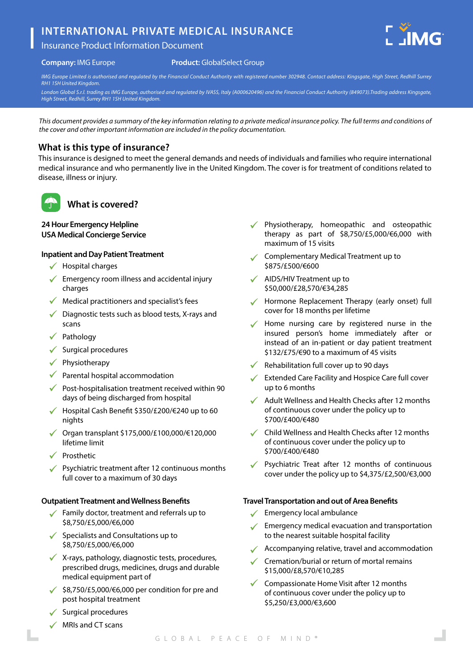# **INTERNATIONAL PRIVATE MEDICAL INSURANCE**





#### **Product:** GlobalSelect Group

*IMG Europe Limited is authorised and regulated by the Financial Conduct Authority with registered number 302948. Contact address: Kingsgate, High Street, Redhill Surrey* 

*RH1 1SH United Kingdom. London Global S.r.l. trading as IMG Europe, authorised and regulated by IVASS, Italy (A000620496) and the Financial Conduct Authority (849073).Trading address Kingsgate, High Street, Redhill, Surrey RH1 1SH United Kingdom.*

*This document provides a summary of the key information relating to a private medical insurance policy. The full terms and conditions of the cover and other important information are included in the policy documentation.*

# **What is this type of insurance?**

This insurance is designed to meet the general demands and needs of individuals and families who require international medical insurance and who permanently live in the United Kingdom. The cover is for treatment of conditions related to disease, illness or injury.



# **What is covered?**

#### **24 Hour Emergency Helpline USA Medical Concierge Service**

#### **Inpatient and Day Patient Treatment**

- $\checkmark$  Hospital charges
- $\checkmark$  Emergency room illness and accidental injury charges
- $\checkmark$  Medical practitioners and specialist's fees
- $\sqrt{\phantom{a}}$  Diagnostic tests such as blood tests, X-rays and scans
- Pathology
- Surgical procedures
- Physiotherapy
- $\sqrt{\phantom{a}}$  Parental hospital accommodation
- $\sqrt{\phantom{a}}$  Post-hospitalisation treatment received within 90 days of being discharged from hospital
- Hospital Cash Benefit \$350/£200/€240 up to 60 nights
- Organ transplant \$175,000/£100,000/€120,000 lifetime limit
- ◆ Prosthetic
- $\sqrt{\phantom{a}}$  Psychiatric treatment after 12 continuous months full cover to a maximum of 30 days

#### **Outpatient Treatment and Wellness Benefits**

- $\checkmark$  Family doctor, treatment and referrals up to \$8,750/£5,000/€6,000
- $\checkmark$  Specialists and Consultations up to \$8,750/£5,000/€6,000
- $\checkmark$  X-rays, pathology, diagnostic tests, procedures, prescribed drugs, medicines, drugs and durable medical equipment part of
- $\checkmark$  \$8,750/£5,000/€6,000 per condition for pre and post hospital treatment
- $\checkmark$  Surgical procedures
- $\sqrt{\phantom{a}}$  MRIs and CT scans
- Physiotherapy, homeopathic and osteopathic therapy as part of \$8,750/£5,000/€6,000 with maximum of 15 visits
- Complementary Medical Treatment up to \$875/£500/€600
- $\checkmark$  AIDS/HIV Treatment up to \$50,000/£28,570/€34,285
- Hormone Replacement Therapy (early onset) full cover for 18 months per lifetime
- Home nursing care by registered nurse in the insured person's home immediately after or instead of an in-patient or day patient treatment \$132/£75/€90 to a maximum of 45 visits
- Rehabilitation full cover up to 90 days
- Extended Care Facility and Hospice Care full cover up to 6 months
- Adult Wellness and Health Checks after 12 months of continuous cover under the policy up to \$700/£400/€480
- Child Wellness and Health Checks after 12 months of continuous cover under the policy up to \$700/£400/€480
- Psychiatric Treat after 12 months of continuous cover under the policy up to \$4,375/£2,500/€3,000

#### **Travel Transportation and out of Area Benefits**

- Emergency local ambulance
- Emergency medical evacuation and transportation to the nearest suitable hospital facility
- Accompanying relative, travel and accommodation
- Cremation/burial or return of mortal remains \$15,000/£8,570/€10,285
- Compassionate Home Visit after 12 months of continuous cover under the policy up to \$5,250/£3,000/€3,600

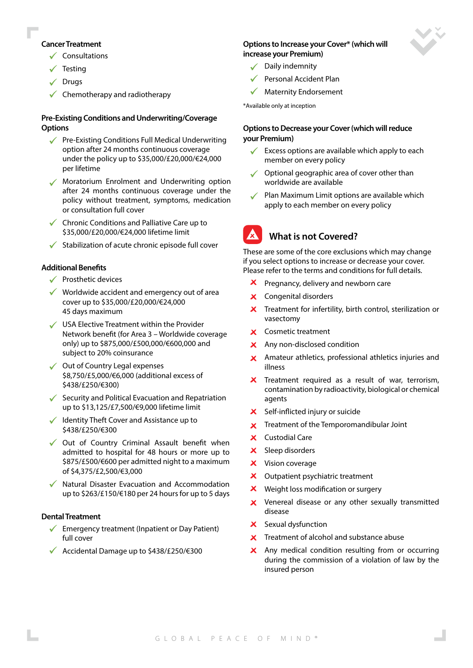#### **Cancer Treatment**

- $\checkmark$  Consultations
- $\checkmark$  Testing
- $\sqrt{}$  Drugs
- $\checkmark$  Chemotherapy and radiotherapy

### **Pre-Existing Conditions and Underwriting/Coverage Options**

- Pre-Existing Conditions Full Medical Underwriting  $\mathcal{L}$ option after 24 months continuous coverage under the policy up to \$35,000/£20,000/€24,000 per lifetime
- Moratorium Enrolment and Underwriting option after 24 months continuous coverage under the policy without treatment, symptoms, medication or consultation full cover
- $\checkmark$  Chronic Conditions and Palliative Care up to \$35,000/£20,000/€24,000 lifetime limit
- $\checkmark$  Stabilization of acute chronic episode full cover

#### **Additional Benefits**

- $\checkmark$  Prosthetic devices
- $\checkmark$  Worldwide accident and emergency out of area cover up to \$35,000/£20,000/€24,000 45 days maximum
- USA Elective Treatment within the Provider Network benefit (for Area 3 – Worldwide coverage only) up to \$875,000/£500,000/€600,000 and subject to 20% coinsurance
- ◆ Out of Country Legal expenses \$8,750/£5,000/€6,000 (additional excess of \$438/£250/€300)
- Security and Political Evacuation and Repatriation up to \$13,125/£7,500/€9,000 lifetime limit
- $\checkmark$  Identity Theft Cover and Assistance up to \$438/£250/€300
- $\sqrt{\phantom{a}}$  Out of Country Criminal Assault benefit when admitted to hospital for 48 hours or more up to \$875/£500/€600 per admitted night to a maximum of \$4,375/£2,500/€3,000
- Natural Disaster Evacuation and Accommodation up to \$263/£150/€180 per 24 hours for up to 5 days

#### **Dental Treatment**

- $\checkmark$  Emergency treatment (Inpatient or Day Patient) full cover
- Accidental Damage up to \$438/£250/€300

### **Options to Increase your Cover\* (which will increase your Premium)**

- $\sqrt{\phantom{a}}$  Daily indemnity
- Personal Accident Plan
- Maternity Endorsement

\*Available only at inception

#### **Options to Decrease your Cover (which will reduce your Premium)**

- $\checkmark$  Excess options are available which apply to each member on every policy
- $\checkmark$  Optional geographic area of cover other than worldwide are available
- Plan Maximum Limit options are available which apply to each member on every policy

# **What is not Covered?**

These are some of the core exclusions which may change if you select options to increase or decrease your cover. Please refer to the terms and conditions for full details.

- Pregnancy, delivery and newborn care
- X Congenital disorders
- $\boldsymbol{\times}$  Treatment for infertility, birth control, sterilization or vasectomy
- **X** Cosmetic treatment
- X Any non-disclosed condition
- $\times$  Amateur athletics, professional athletics injuries and illness
- $\boldsymbol{\times}$  Treatment required as a result of war, terrorism, contamination by radioactivity, biological or chemical agents
- X Self-inflicted injury or suicide
- $\boldsymbol{\times}$  Treatment of the Temporomandibular Joint
- X Custodial Care
- $\times$  Sleep disorders
- X Vision coverage
- $\boldsymbol{\times}$  Outpatient psychiatric treatment
- $\boldsymbol{\mathsf{x}}$ Weight loss modification or surgery
- X Venereal disease or any other sexually transmitted disease
- $\boldsymbol{\times}$  Sexual dysfunction
- **X** Treatment of alcohol and substance abuse
- X Any medical condition resulting from or occurring during the commission of a violation of law by the insured person